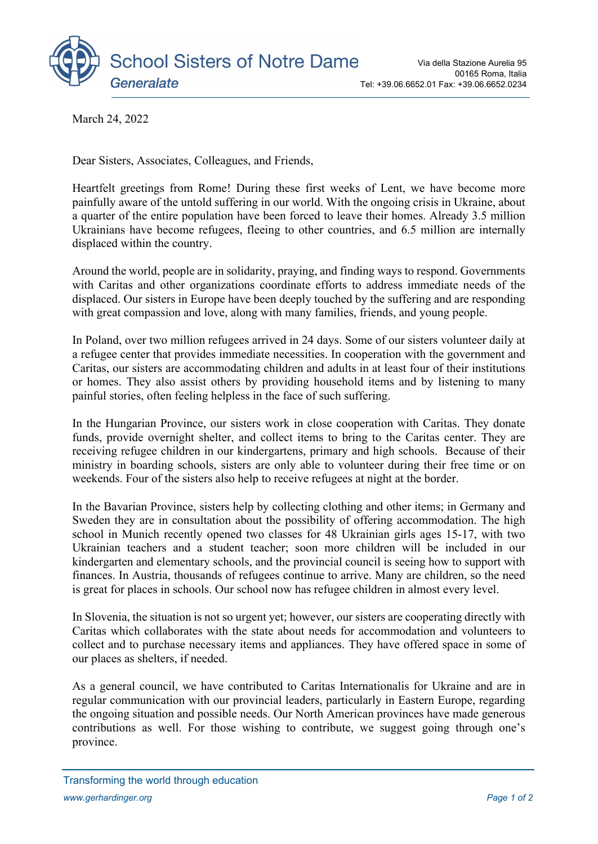

March 24, 2022

Dear Sisters, Associates, Colleagues, and Friends,

Heartfelt greetings from Rome! During these first weeks of Lent, we have become more painfully aware of the untold suffering in our world. With the ongoing crisis in Ukraine, about a quarter of the entire population have been forced to leave their homes. Already 3.5 million Ukrainians have become refugees, fleeing to other countries, and 6.5 million are internally displaced within the country.

Around the world, people are in solidarity, praying, and finding ways to respond. Governments with Caritas and other organizations coordinate efforts to address immediate needs of the displaced. Our sisters in Europe have been deeply touched by the suffering and are responding with great compassion and love, along with many families, friends, and young people.

In Poland, over two million refugees arrived in 24 days. Some of our sisters volunteer daily at a refugee center that provides immediate necessities. In cooperation with the government and Caritas, our sisters are accommodating children and adults in at least four of their institutions or homes. They also assist others by providing household items and by listening to many painful stories, often feeling helpless in the face of such suffering.

In the Hungarian Province, our sisters work in close cooperation with Caritas. They donate funds, provide overnight shelter, and collect items to bring to the Caritas center. They are receiving refugee children in our kindergartens, primary and high schools. Because of their ministry in boarding schools, sisters are only able to volunteer during their free time or on weekends. Four of the sisters also help to receive refugees at night at the border.

In the Bavarian Province, sisters help by collecting clothing and other items; in Germany and Sweden they are in consultation about the possibility of offering accommodation. The high school in Munich recently opened two classes for 48 Ukrainian girls ages 15-17, with two Ukrainian teachers and a student teacher; soon more children will be included in our kindergarten and elementary schools, and the provincial council is seeing how to support with finances. In Austria, thousands of refugees continue to arrive. Many are children, so the need is great for places in schools. Our school now has refugee children in almost every level.

In Slovenia, the situation is not so urgent yet; however, our sisters are cooperating directly with Caritas which collaborates with the state about needs for accommodation and volunteers to collect and to purchase necessary items and appliances. They have offered space in some of our places as shelters, if needed.

As a general council, we have contributed to Caritas Internationalis for Ukraine and are in regular communication with our provincial leaders, particularly in Eastern Europe, regarding the ongoing situation and possible needs. Our North American provinces have made generous contributions as well. For those wishing to contribute, we suggest going through one's province.